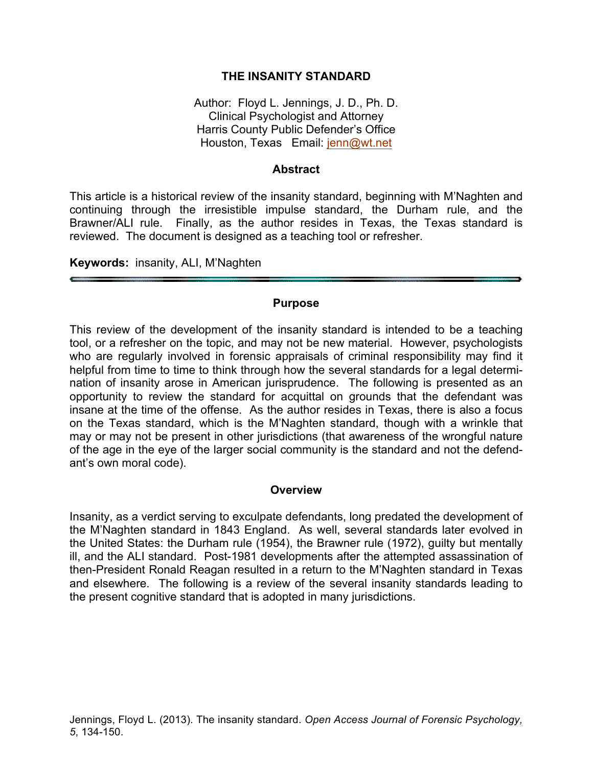#### **THE INSANITY STANDARD**

Author: Floyd L. Jennings, J. D., Ph. D. Clinical Psychologist and Attorney Harris County Public Defender's Office Houston, Texas Email: jenn@wt.net

#### **Abstract**

This article is a historical review of the insanity standard, beginning with M'Naghten and continuing through the irresistible impulse standard, the Durham rule, and the Brawner/ALI rule. Finally, as the author resides in Texas, the Texas standard is reviewed. The document is designed as a teaching tool or refresher.

**Keywords:** insanity, ALI, M'Naghten

#### **Purpose**

This review of the development of the insanity standard is intended to be a teaching tool, or a refresher on the topic, and may not be new material. However, psychologists who are regularly involved in forensic appraisals of criminal responsibility may find it helpful from time to time to think through how the several standards for a legal determination of insanity arose in American jurisprudence. The following is presented as an opportunity to review the standard for acquittal on grounds that the defendant was insane at the time of the offense. As the author resides in Texas, there is also a focus on the Texas standard, which is the M'Naghten standard, though with a wrinkle that may or may not be present in other jurisdictions (that awareness of the wrongful nature of the age in the eye of the larger social community is the standard and not the defendant's own moral code).

#### **Overview**

Insanity, as a verdict serving to exculpate defendants, long predated the development of the M'Naghten standard in 1843 England. As well, several standards later evolved in the United States: the Durham rule (1954), the Brawner rule (1972), guilty but mentally ill, and the ALI standard. Post-1981 developments after the attempted assassination of then-President Ronald Reagan resulted in a return to the M'Naghten standard in Texas and elsewhere. The following is a review of the several insanity standards leading to the present cognitive standard that is adopted in many jurisdictions.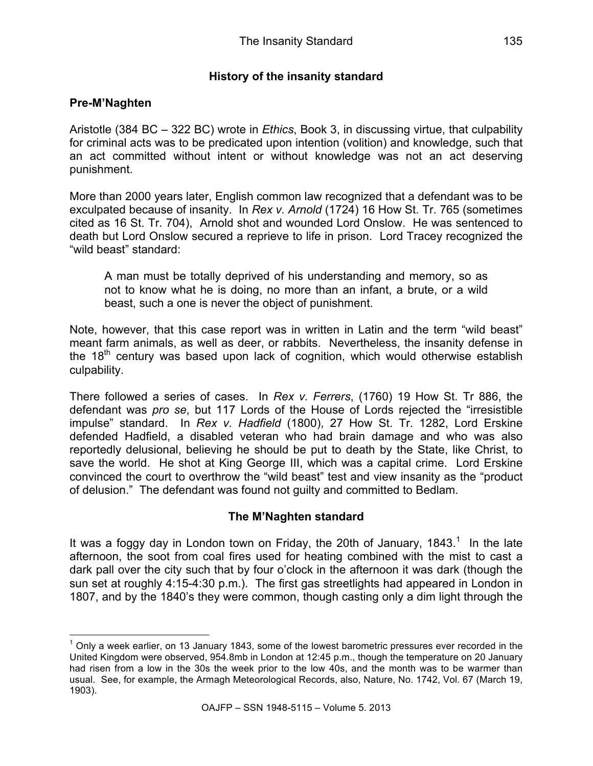### **History of the insanity standard**

### **Pre-M'Naghten**

Aristotle (384 BC – 322 BC) wrote in *Ethics*, Book 3, in discussing virtue, that culpability for criminal acts was to be predicated upon intention (volition) and knowledge, such that an act committed without intent or without knowledge was not an act deserving punishment.

More than 2000 years later, English common law recognized that a defendant was to be exculpated because of insanity. In *Rex v. Arnold* (1724) 16 How St. Tr. 765 (sometimes cited as 16 St. Tr. 704), Arnold shot and wounded Lord Onslow. He was sentenced to death but Lord Onslow secured a reprieve to life in prison. Lord Tracey recognized the "wild beast" standard:

A man must be totally deprived of his understanding and memory, so as not to know what he is doing, no more than an infant, a brute, or a wild beast, such a one is never the object of punishment.

Note, however, that this case report was in written in Latin and the term "wild beast" meant farm animals, as well as deer, or rabbits. Nevertheless, the insanity defense in the 18<sup>th</sup> century was based upon lack of cognition, which would otherwise establish culpability.

There followed a series of cases. In *Rex v. Ferrers*, (1760) 19 How St. Tr 886, the defendant was *pro se*, but 117 Lords of the House of Lords rejected the "irresistible impulse" standard. In *Rex v. Hadfield* (1800), 27 How St. Tr. 1282, Lord Erskine defended Hadfield, a disabled veteran who had brain damage and who was also reportedly delusional, believing he should be put to death by the State, like Christ, to save the world. He shot at King George III, which was a capital crime. Lord Erskine convinced the court to overthrow the "wild beast" test and view insanity as the "product of delusion." The defendant was found not guilty and committed to Bedlam.

### **The M'Naghten standard**

It was a foggy day in London town on Friday, the 20th of January, 1843. $1$  In the late afternoon, the soot from coal fires used for heating combined with the mist to cast a dark pall over the city such that by four o'clock in the afternoon it was dark (though the sun set at roughly 4:15-4:30 p.m.). The first gas streetlights had appeared in London in 1807, and by the 1840's they were common, though casting only a dim light through the

 $1$  Only a week earlier, on 13 January 1843, some of the lowest barometric pressures ever recorded in the United Kingdom were observed, 954.8mb in London at 12:45 p.m., though the temperature on 20 January had risen from a low in the 30s the week prior to the low 40s, and the month was to be warmer than usual. See, for example, the Armagh Meteorological Records, also, Nature, No. 1742, Vol. 67 (March 19, 1903).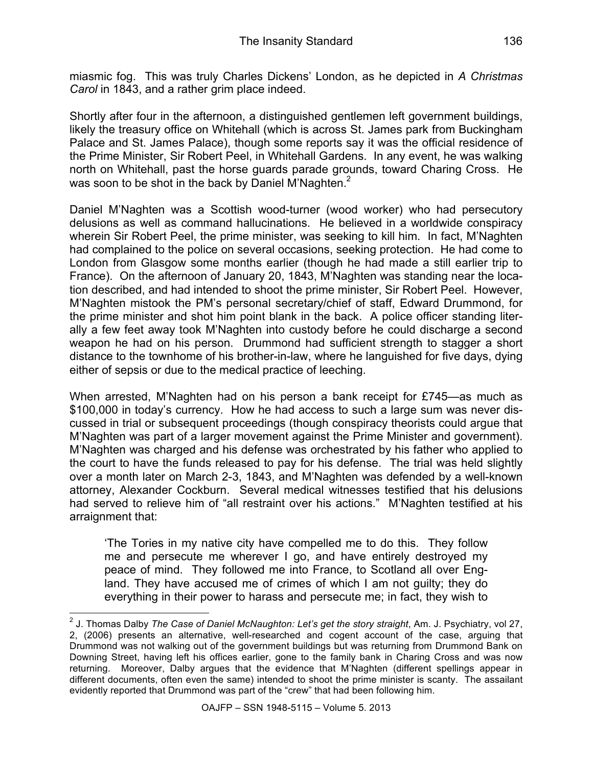miasmic fog. This was truly Charles Dickens' London, as he depicted in *A Christmas Carol* in 1843, and a rather grim place indeed.

Shortly after four in the afternoon, a distinguished gentlemen left government buildings, likely the treasury office on Whitehall (which is across St. James park from Buckingham Palace and St. James Palace), though some reports say it was the official residence of the Prime Minister, Sir Robert Peel, in Whitehall Gardens. In any event, he was walking north on Whitehall, past the horse guards parade grounds, toward Charing Cross. He was soon to be shot in the back by Daniel M'Naghten.<sup>2</sup>

Daniel M'Naghten was a Scottish wood-turner (wood worker) who had persecutory delusions as well as command hallucinations. He believed in a worldwide conspiracy wherein Sir Robert Peel, the prime minister, was seeking to kill him. In fact, M'Naghten had complained to the police on several occasions, seeking protection. He had come to London from Glasgow some months earlier (though he had made a still earlier trip to France). On the afternoon of January 20, 1843, M'Naghten was standing near the location described, and had intended to shoot the prime minister, Sir Robert Peel. However, M'Naghten mistook the PM's personal secretary/chief of staff, Edward Drummond, for the prime minister and shot him point blank in the back. A police officer standing literally a few feet away took M'Naghten into custody before he could discharge a second weapon he had on his person. Drummond had sufficient strength to stagger a short distance to the townhome of his brother-in-law, where he languished for five days, dying either of sepsis or due to the medical practice of leeching.

When arrested, M'Naghten had on his person a bank receipt for £745—as much as \$100,000 in today's currency. How he had access to such a large sum was never discussed in trial or subsequent proceedings (though conspiracy theorists could argue that M'Naghten was part of a larger movement against the Prime Minister and government). M'Naghten was charged and his defense was orchestrated by his father who applied to the court to have the funds released to pay for his defense. The trial was held slightly over a month later on March 2-3, 1843, and M'Naghten was defended by a well-known attorney, Alexander Cockburn. Several medical witnesses testified that his delusions had served to relieve him of "all restraint over his actions." M'Naghten testified at his arraignment that:

'The Tories in my native city have compelled me to do this. They follow me and persecute me wherever I go, and have entirely destroyed my peace of mind. They followed me into France, to Scotland all over England. They have accused me of crimes of which I am not guilty; they do everything in their power to harass and persecute me; in fact, they wish to

 <sup>2</sup> J. Thomas Dalby *The Case of Daniel McNaughton: Let's get the story straight*, Am. J. Psychiatry, vol 27, 2, (2006) presents an alternative, well-researched and cogent account of the case, arguing that Drummond was not walking out of the government buildings but was returning from Drummond Bank on Downing Street, having left his offices earlier, gone to the family bank in Charing Cross and was now returning. Moreover, Dalby argues that the evidence that M'Naghten (different spellings appear in different documents, often even the same) intended to shoot the prime minister is scanty. The assailant evidently reported that Drummond was part of the "crew" that had been following him.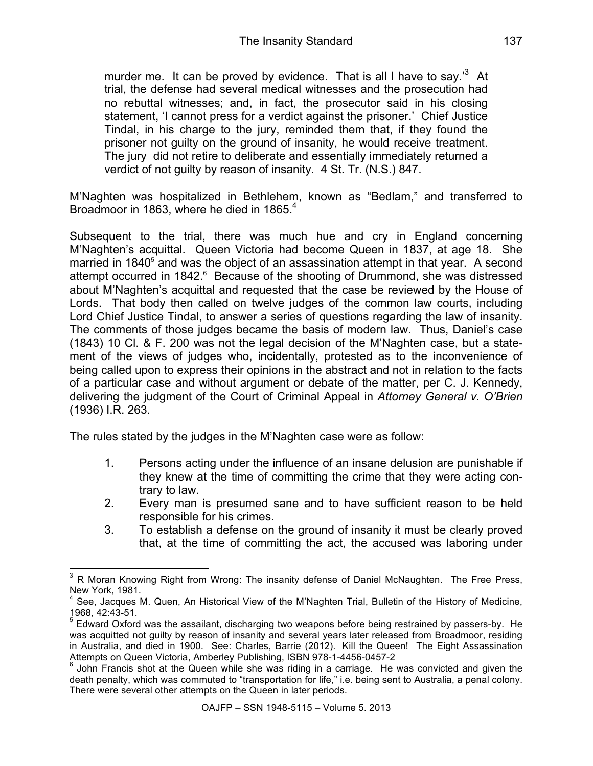murder me. It can be proved by evidence. That is all I have to say.<sup>3</sup> At trial, the defense had several medical witnesses and the prosecution had no rebuttal witnesses; and, in fact, the prosecutor said in his closing statement, 'I cannot press for a verdict against the prisoner.' Chief Justice Tindal, in his charge to the jury, reminded them that, if they found the prisoner not guilty on the ground of insanity, he would receive treatment. The jury did not retire to deliberate and essentially immediately returned a verdict of not guilty by reason of insanity. 4 St. Tr. (N.S.) 847.

M'Naghten was hospitalized in Bethlehem, known as "Bedlam," and transferred to Broadmoor in 1863, where he died in 1865.<sup>4</sup>

Subsequent to the trial, there was much hue and cry in England concerning M'Naghten's acquittal. Queen Victoria had become Queen in 1837, at age 18. She married in  $1840<sup>5</sup>$  and was the object of an assassination attempt in that year. A second attempt occurred in 1842.<sup>6</sup> Because of the shooting of Drummond, she was distressed about M'Naghten's acquittal and requested that the case be reviewed by the House of Lords. That body then called on twelve judges of the common law courts, including Lord Chief Justice Tindal, to answer a series of questions regarding the law of insanity. The comments of those judges became the basis of modern law. Thus, Daniel's case (1843) 10 Cl. & F. 200 was not the legal decision of the M'Naghten case, but a statement of the views of judges who, incidentally, protested as to the inconvenience of being called upon to express their opinions in the abstract and not in relation to the facts of a particular case and without argument or debate of the matter, per C. J. Kennedy, delivering the judgment of the Court of Criminal Appeal in *Attorney General v. O'Brien* (1936) I.R. 263.

The rules stated by the judges in the M'Naghten case were as follow:

- 1. Persons acting under the influence of an insane delusion are punishable if they knew at the time of committing the crime that they were acting contrary to law.
- 2. Every man is presumed sane and to have sufficient reason to be held responsible for his crimes.
- 3. To establish a defense on the ground of insanity it must be clearly proved that, at the time of committing the act, the accused was laboring under

 $3 \text{ R}$  Moran Knowing Right from Wrong: The insanity defense of Daniel McNaughten. The Free Press, New York, 1981.

See, Jacques M. Quen, An Historical View of the M'Naghten Trial, Bulletin of the History of Medicine, 1968, 42:43-51.

 $5$  Edward Oxford was the assailant, discharging two weapons before being restrained by passers-by. He was acquitted not guilty by reason of insanity and several years later released from Broadmoor, residing in Australia, and died in 1900. See: Charles, Barrie (2012). Kill the Queen! The Eight Assassination Attempts on Queen Victoria, Amberley Publishing, ISBN 978-1-4456-0457-2

John Francis shot at the Queen while she was riding in a carriage. He was convicted and given the death penalty, which was commuted to "transportation for life," i.e. being sent to Australia, a penal colony. There were several other attempts on the Queen in later periods.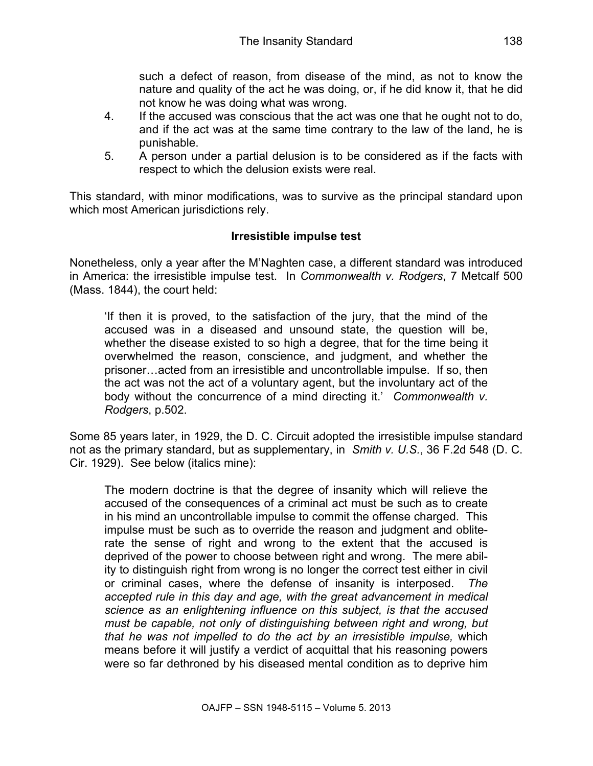such a defect of reason, from disease of the mind, as not to know the nature and quality of the act he was doing, or, if he did know it, that he did not know he was doing what was wrong.

- 4. If the accused was conscious that the act was one that he ought not to do, and if the act was at the same time contrary to the law of the land, he is punishable.
- 5. A person under a partial delusion is to be considered as if the facts with respect to which the delusion exists were real.

This standard, with minor modifications, was to survive as the principal standard upon which most American jurisdictions rely.

## **Irresistible impulse test**

Nonetheless, only a year after the M'Naghten case, a different standard was introduced in America: the irresistible impulse test. In *Commonwealth v. Rodgers*, 7 Metcalf 500 (Mass. 1844), the court held:

'If then it is proved, to the satisfaction of the jury, that the mind of the accused was in a diseased and unsound state, the question will be, whether the disease existed to so high a degree, that for the time being it overwhelmed the reason, conscience, and judgment, and whether the prisoner…acted from an irresistible and uncontrollable impulse. If so, then the act was not the act of a voluntary agent, but the involuntary act of the body without the concurrence of a mind directing it.' *Commonwealth v. Rodgers*, p.502.

Some 85 years later, in 1929, the D. C. Circuit adopted the irresistible impulse standard not as the primary standard, but as supplementary, in *Smith v. U.S.*, 36 F.2d 548 (D. C. Cir. 1929). See below (italics mine):

The modern doctrine is that the degree of insanity which will relieve the accused of the consequences of a criminal act must be such as to create in his mind an uncontrollable impulse to commit the offense charged. This impulse must be such as to override the reason and judgment and obliterate the sense of right and wrong to the extent that the accused is deprived of the power to choose between right and wrong. The mere ability to distinguish right from wrong is no longer the correct test either in civil or criminal cases, where the defense of insanity is interposed. *The accepted rule in this day and age, with the great advancement in medical science as an enlightening influence on this subject, is that the accused must be capable, not only of distinguishing between right and wrong, but that he was not impelled to do the act by an irresistible impulse,* which means before it will justify a verdict of acquittal that his reasoning powers were so far dethroned by his diseased mental condition as to deprive him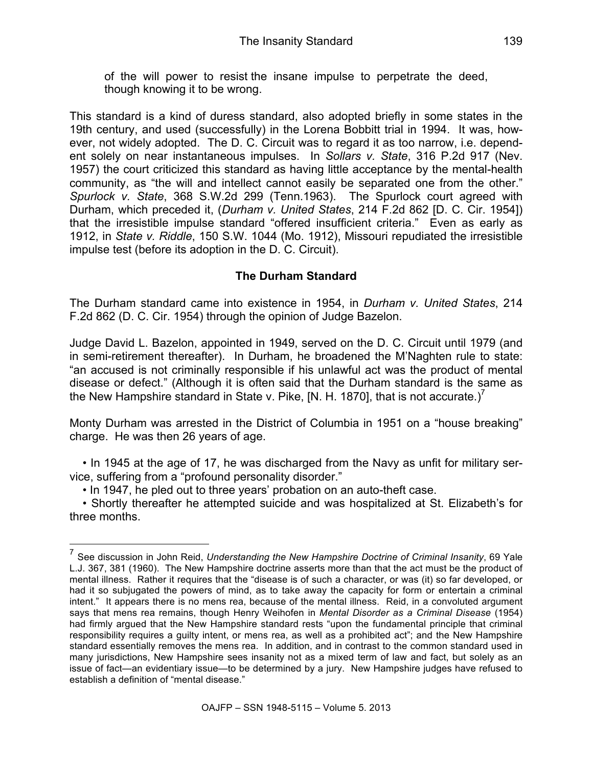of the will power to resist the insane impulse to perpetrate the deed, though knowing it to be wrong.

This standard is a kind of duress standard, also adopted briefly in some states in the 19th century, and used (successfully) in the Lorena Bobbitt trial in 1994. It was, however, not widely adopted. The D. C. Circuit was to regard it as too narrow, i.e. dependent solely on near instantaneous impulses. In *Sollars v. State*, 316 P.2d 917 (Nev. 1957) the court criticized this standard as having little acceptance by the mental-health community, as "the will and intellect cannot easily be separated one from the other." *Spurlock v. State*, 368 S.W.2d 299 (Tenn.1963). The Spurlock court agreed with Durham, which preceded it, (*Durham v. United States*, 214 F.2d 862 [D. C. Cir. 1954]) that the irresistible impulse standard "offered insufficient criteria." Even as early as 1912, in *State v. Riddle*, 150 S.W. 1044 (Mo. 1912), Missouri repudiated the irresistible impulse test (before its adoption in the D. C. Circuit).

## **The Durham Standard**

The Durham standard came into existence in 1954, in *Durham v. United States*, 214 F.2d 862 (D. C. Cir. 1954) through the opinion of Judge Bazelon.

Judge David L. Bazelon, appointed in 1949, served on the D. C. Circuit until 1979 (and in semi-retirement thereafter). In Durham, he broadened the M'Naghten rule to state: "an accused is not criminally responsible if his unlawful act was the product of mental disease or defect." (Although it is often said that the Durham standard is the same as the New Hampshire standard in State v. Pike,  $[N. H. 1870]$ , that is not accurate.)

Monty Durham was arrested in the District of Columbia in 1951 on a "house breaking" charge. He was then 26 years of age.

• In 1945 at the age of 17, he was discharged from the Navy as unfit for military service, suffering from a "profound personality disorder."

• In 1947, he pled out to three years' probation on an auto-theft case.

• Shortly thereafter he attempted suicide and was hospitalized at St. Elizabeth's for three months.

 <sup>7</sup> See discussion in John Reid, *Understanding the New Hampshire Doctrine of Criminal Insanity*, 69 Yale L.J. 367, 381 (1960). The New Hampshire doctrine asserts more than that the act must be the product of mental illness. Rather it requires that the "disease is of such a character, or was (it) so far developed, or had it so subjugated the powers of mind, as to take away the capacity for form or entertain a criminal intent." It appears there is no mens rea, because of the mental illness. Reid, in a convoluted argument says that mens rea remains, though Henry Weihofen in *Mental Disorder as a Criminal Disease* (1954) had firmly argued that the New Hampshire standard rests "upon the fundamental principle that criminal responsibility requires a guilty intent, or mens rea, as well as a prohibited act"; and the New Hampshire standard essentially removes the mens rea. In addition, and in contrast to the common standard used in many jurisdictions, New Hampshire sees insanity not as a mixed term of law and fact, but solely as an issue of fact—an evidentiary issue—to be determined by a jury. New Hampshire judges have refused to establish a definition of "mental disease."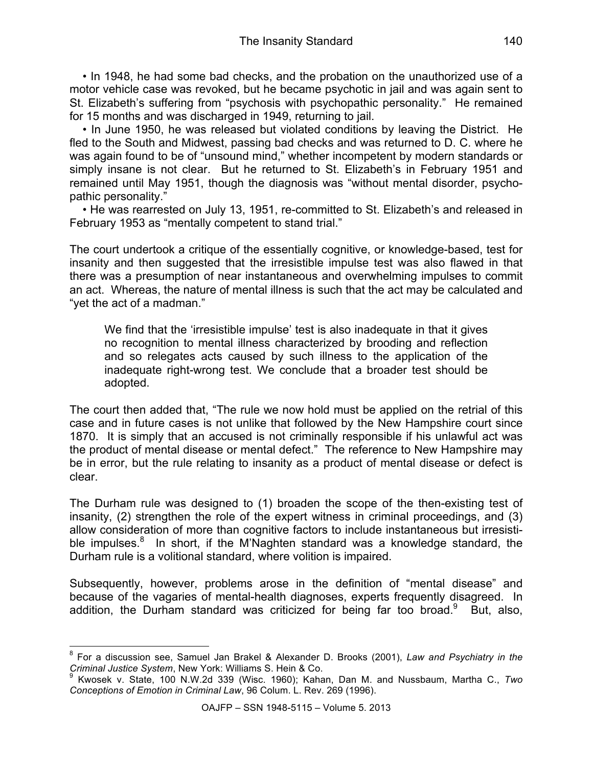• In 1948, he had some bad checks, and the probation on the unauthorized use of a motor vehicle case was revoked, but he became psychotic in jail and was again sent to St. Elizabeth's suffering from "psychosis with psychopathic personality." He remained for 15 months and was discharged in 1949, returning to jail.

• In June 1950, he was released but violated conditions by leaving the District. He fled to the South and Midwest, passing bad checks and was returned to D. C. where he was again found to be of "unsound mind," whether incompetent by modern standards or simply insane is not clear. But he returned to St. Elizabeth's in February 1951 and remained until May 1951, though the diagnosis was "without mental disorder, psychopathic personality."

• He was rearrested on July 13, 1951, re-committed to St. Elizabeth's and released in February 1953 as "mentally competent to stand trial."

The court undertook a critique of the essentially cognitive, or knowledge-based, test for insanity and then suggested that the irresistible impulse test was also flawed in that there was a presumption of near instantaneous and overwhelming impulses to commit an act. Whereas, the nature of mental illness is such that the act may be calculated and "yet the act of a madman."

We find that the 'irresistible impulse' test is also inadequate in that it gives no recognition to mental illness characterized by brooding and reflection and so relegates acts caused by such illness to the application of the inadequate right-wrong test. We conclude that a broader test should be adopted.

The court then added that, "The rule we now hold must be applied on the retrial of this case and in future cases is not unlike that followed by the New Hampshire court since 1870. It is simply that an accused is not criminally responsible if his unlawful act was the product of mental disease or mental defect." The reference to New Hampshire may be in error, but the rule relating to insanity as a product of mental disease or defect is clear.

The Durham rule was designed to (1) broaden the scope of the then-existing test of insanity, (2) strengthen the role of the expert witness in criminal proceedings, and (3) allow consideration of more than cognitive factors to include instantaneous but irresistible impulses. $8$  In short, if the M'Naghten standard was a knowledge standard, the Durham rule is a volitional standard, where volition is impaired.

Subsequently, however, problems arose in the definition of "mental disease" and because of the vagaries of mental-health diagnoses, experts frequently disagreed. In addition, the Durham standard was criticized for being far too broad.<sup>9</sup> But, also,

 <sup>8</sup> For a discussion see, Samuel Jan Brakel & Alexander D. Brooks (2001), *Law and Psychiatry in the Criminal Justice System*, New York: Williams S. Hein & Co.

<sup>9</sup> Kwosek v. State, 100 N.W.2d 339 (Wisc. 1960); Kahan, Dan M. and Nussbaum, Martha C., *Two Conceptions of Emotion in Criminal Law*, 96 Colum. L. Rev. 269 (1996).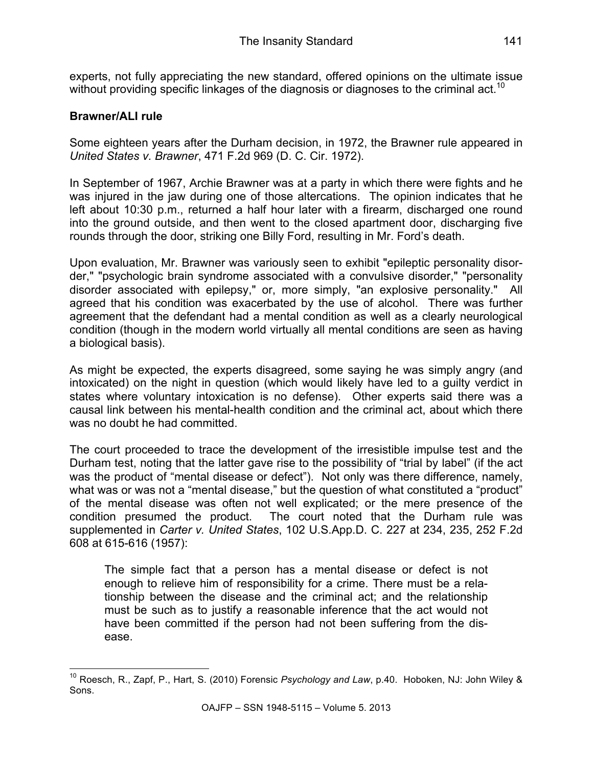experts, not fully appreciating the new standard, offered opinions on the ultimate issue without providing specific linkages of the diagnosis or diagnoses to the criminal act.<sup>10</sup>

### **Brawner/ALI rule**

Some eighteen years after the Durham decision, in 1972, the Brawner rule appeared in *United States v. Brawner*, 471 F.2d 969 (D. C. Cir. 1972).

In September of 1967, Archie Brawner was at a party in which there were fights and he was injured in the jaw during one of those altercations. The opinion indicates that he left about 10:30 p.m., returned a half hour later with a firearm, discharged one round into the ground outside, and then went to the closed apartment door, discharging five rounds through the door, striking one Billy Ford, resulting in Mr. Ford's death.

Upon evaluation, Mr. Brawner was variously seen to exhibit "epileptic personality disorder," "psychologic brain syndrome associated with a convulsive disorder," "personality disorder associated with epilepsy," or, more simply, "an explosive personality." All agreed that his condition was exacerbated by the use of alcohol. There was further agreement that the defendant had a mental condition as well as a clearly neurological condition (though in the modern world virtually all mental conditions are seen as having a biological basis).

As might be expected, the experts disagreed, some saying he was simply angry (and intoxicated) on the night in question (which would likely have led to a guilty verdict in states where voluntary intoxication is no defense). Other experts said there was a causal link between his mental-health condition and the criminal act, about which there was no doubt he had committed.

The court proceeded to trace the development of the irresistible impulse test and the Durham test, noting that the latter gave rise to the possibility of "trial by label" (if the act was the product of "mental disease or defect"). Not only was there difference, namely, what was or was not a "mental disease," but the question of what constituted a "product" of the mental disease was often not well explicated; or the mere presence of the condition presumed the product. The court noted that the Durham rule was supplemented in *Carter v. United States*, 102 U.S.App.D. C. 227 at 234, 235, 252 F.2d 608 at 615-616 (1957):

The simple fact that a person has a mental disease or defect is not enough to relieve him of responsibility for a crime. There must be a relationship between the disease and the criminal act; and the relationship must be such as to justify a reasonable inference that the act would not have been committed if the person had not been suffering from the disease.

 <sup>10</sup> Roesch, R., Zapf, P., Hart, S. (2010) Forensic *Psychology and Law*, p.40. Hoboken, NJ: John Wiley & Sons.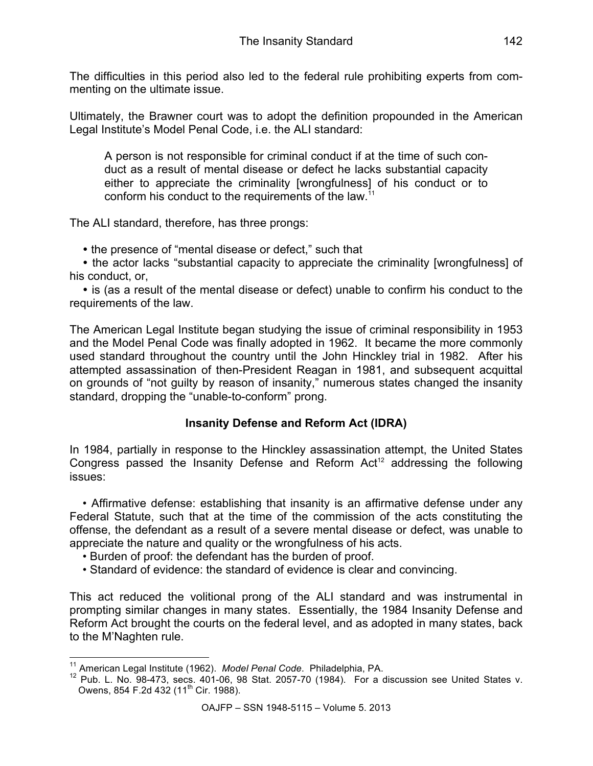The difficulties in this period also led to the federal rule prohibiting experts from commenting on the ultimate issue.

Ultimately, the Brawner court was to adopt the definition propounded in the American Legal Institute's Model Penal Code, i.e. the ALI standard:

A person is not responsible for criminal conduct if at the time of such conduct as a result of mental disease or defect he lacks substantial capacity either to appreciate the criminality [wrongfulness] of his conduct or to conform his conduct to the requirements of the law. 11

The ALI standard, therefore, has three prongs:

• the presence of "mental disease or defect," such that

 the actor lacks "substantial capacity to appreciate the criminality [wrongfulness] of his conduct, or,

• is (as a result of the mental disease or defect) unable to confirm his conduct to the requirements of the law.

The American Legal Institute began studying the issue of criminal responsibility in 1953 and the Model Penal Code was finally adopted in 1962. It became the more commonly used standard throughout the country until the John Hinckley trial in 1982. After his attempted assassination of then-President Reagan in 1981, and subsequent acquittal on grounds of "not guilty by reason of insanity," numerous states changed the insanity standard, dropping the "unable-to-conform" prong.

# **Insanity Defense and Reform Act (IDRA)**

In 1984, partially in response to the Hinckley assassination attempt, the United States Congress passed the Insanity Defense and Reform Act<sup>12</sup> addressing the following issues:

• Affirmative defense: establishing that insanity is an affirmative defense under any Federal Statute, such that at the time of the commission of the acts constituting the offense, the defendant as a result of a severe mental disease or defect, was unable to appreciate the nature and quality or the wrongfulness of his acts.

- Burden of proof: the defendant has the burden of proof.
- Standard of evidence: the standard of evidence is clear and convincing.

This act reduced the volitional prong of the ALI standard and was instrumental in prompting similar changes in many states. Essentially, the 1984 Insanity Defense and Reform Act brought the courts on the federal level, and as adopted in many states, back to the M'Naghten rule.

<sup>&</sup>lt;sup>11</sup> American Legal Institute (1962). *Model Penal Code*. Philadelphia, PA.<br><sup>12</sup> Pub. L. No. 98-473, secs. 401-06, 98 Stat. 2057-70 (1984). For a discussion see United States v. Owens, 854 F.2d 432 (11<sup>th</sup> Cir. 1988).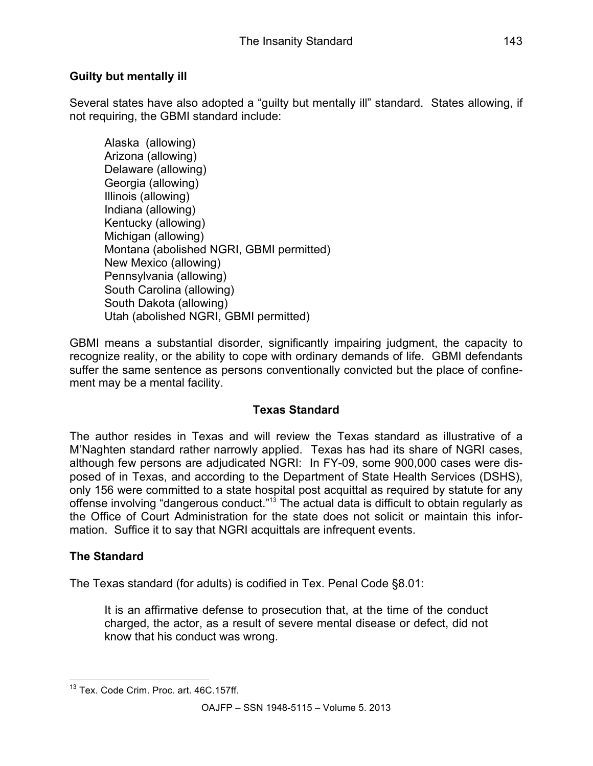## **Guilty but mentally ill**

Several states have also adopted a "guilty but mentally ill" standard. States allowing, if not requiring, the GBMI standard include:

Alaska (allowing) Arizona (allowing) Delaware (allowing) Georgia (allowing) Illinois (allowing) Indiana (allowing) Kentucky (allowing) Michigan (allowing) Montana (abolished NGRI, GBMI permitted) New Mexico (allowing) Pennsylvania (allowing) South Carolina (allowing) South Dakota (allowing) Utah (abolished NGRI, GBMI permitted)

GBMI means a substantial disorder, significantly impairing judgment, the capacity to recognize reality, or the ability to cope with ordinary demands of life. GBMI defendants suffer the same sentence as persons conventionally convicted but the place of confinement may be a mental facility.

### **Texas Standard**

The author resides in Texas and will review the Texas standard as illustrative of a M'Naghten standard rather narrowly applied. Texas has had its share of NGRI cases, although few persons are adjudicated NGRI: In FY-09, some 900,000 cases were disposed of in Texas, and according to the Department of State Health Services (DSHS), only 156 were committed to a state hospital post acquittal as required by statute for any offense involving "dangerous conduct."<sup>13</sup> The actual data is difficult to obtain regularly as the Office of Court Administration for the state does not solicit or maintain this information. Suffice it to say that NGRI acquittals are infrequent events.

### **The Standard**

The Texas standard (for adults) is codified in Tex. Penal Code §8.01:

It is an affirmative defense to prosecution that, at the time of the conduct charged, the actor, as a result of severe mental disease or defect, did not know that his conduct was wrong.

<sup>&</sup>lt;sup>13</sup> Tex. Code Crim. Proc. art. 46C.157ff.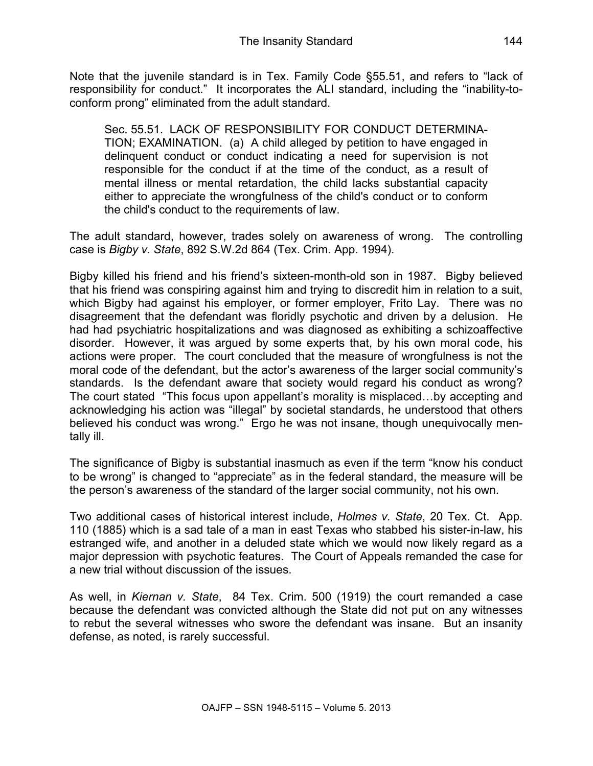Note that the juvenile standard is in Tex. Family Code §55.51, and refers to "lack of responsibility for conduct." It incorporates the ALI standard, including the "inability-toconform prong" eliminated from the adult standard.

Sec. 55.51. LACK OF RESPONSIBILITY FOR CONDUCT DETERMINA-TION; EXAMINATION. (a) A child alleged by petition to have engaged in delinquent conduct or conduct indicating a need for supervision is not responsible for the conduct if at the time of the conduct, as a result of mental illness or mental retardation, the child lacks substantial capacity either to appreciate the wrongfulness of the child's conduct or to conform the child's conduct to the requirements of law.

The adult standard, however, trades solely on awareness of wrong. The controlling case is *Bigby v. State*, 892 S.W.2d 864 (Tex. Crim. App. 1994).

Bigby killed his friend and his friend's sixteen-month-old son in 1987. Bigby believed that his friend was conspiring against him and trying to discredit him in relation to a suit, which Bigby had against his employer, or former employer, Frito Lay. There was no disagreement that the defendant was floridly psychotic and driven by a delusion. He had had psychiatric hospitalizations and was diagnosed as exhibiting a schizoaffective disorder. However, it was argued by some experts that, by his own moral code, his actions were proper. The court concluded that the measure of wrongfulness is not the moral code of the defendant, but the actor's awareness of the larger social community's standards. Is the defendant aware that society would regard his conduct as wrong? The court stated "This focus upon appellant's morality is misplaced…by accepting and acknowledging his action was "illegal" by societal standards, he understood that others believed his conduct was wrong." Ergo he was not insane, though unequivocally mentally ill.

The significance of Bigby is substantial inasmuch as even if the term "know his conduct to be wrong" is changed to "appreciate" as in the federal standard, the measure will be the person's awareness of the standard of the larger social community, not his own.

Two additional cases of historical interest include, *Holmes v. State*, 20 Tex. Ct. App. 110 (1885) which is a sad tale of a man in east Texas who stabbed his sister-in-law, his estranged wife, and another in a deluded state which we would now likely regard as a major depression with psychotic features. The Court of Appeals remanded the case for a new trial without discussion of the issues.

As well, in *Kiernan v. State*, 84 Tex. Crim. 500 (1919) the court remanded a case because the defendant was convicted although the State did not put on any witnesses to rebut the several witnesses who swore the defendant was insane. But an insanity defense, as noted, is rarely successful.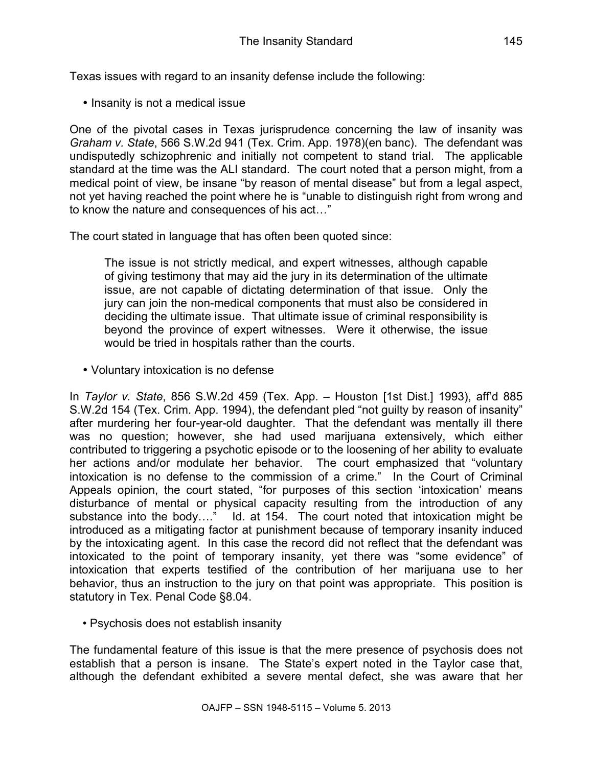Texas issues with regard to an insanity defense include the following:

• Insanity is not a medical issue

One of the pivotal cases in Texas jurisprudence concerning the law of insanity was *Graham v. State*, 566 S.W.2d 941 (Tex. Crim. App. 1978)(en banc). The defendant was undisputedly schizophrenic and initially not competent to stand trial. The applicable standard at the time was the ALI standard. The court noted that a person might, from a medical point of view, be insane "by reason of mental disease" but from a legal aspect, not yet having reached the point where he is "unable to distinguish right from wrong and to know the nature and consequences of his act…"

The court stated in language that has often been quoted since:

The issue is not strictly medical, and expert witnesses, although capable of giving testimony that may aid the jury in its determination of the ultimate issue, are not capable of dictating determination of that issue. Only the jury can join the non-medical components that must also be considered in deciding the ultimate issue. That ultimate issue of criminal responsibility is beyond the province of expert witnesses. Were it otherwise, the issue would be tried in hospitals rather than the courts.

Voluntary intoxication is no defense

In *Taylor v. State*, 856 S.W.2d 459 (Tex. App. – Houston [1st Dist.] 1993), aff'd 885 S.W.2d 154 (Tex. Crim. App. 1994), the defendant pled "not guilty by reason of insanity" after murdering her four-year-old daughter. That the defendant was mentally ill there was no question; however, she had used marijuana extensively, which either contributed to triggering a psychotic episode or to the loosening of her ability to evaluate her actions and/or modulate her behavior. The court emphasized that "voluntary intoxication is no defense to the commission of a crime." In the Court of Criminal Appeals opinion, the court stated, "for purposes of this section 'intoxication' means disturbance of mental or physical capacity resulting from the introduction of any substance into the body...." Id. at 154. The court noted that intoxication might be introduced as a mitigating factor at punishment because of temporary insanity induced by the intoxicating agent. In this case the record did not reflect that the defendant was intoxicated to the point of temporary insanity, yet there was "some evidence" of intoxication that experts testified of the contribution of her marijuana use to her behavior, thus an instruction to the jury on that point was appropriate. This position is statutory in Tex. Penal Code §8.04.

• Psychosis does not establish insanity

The fundamental feature of this issue is that the mere presence of psychosis does not establish that a person is insane. The State's expert noted in the Taylor case that, although the defendant exhibited a severe mental defect, she was aware that her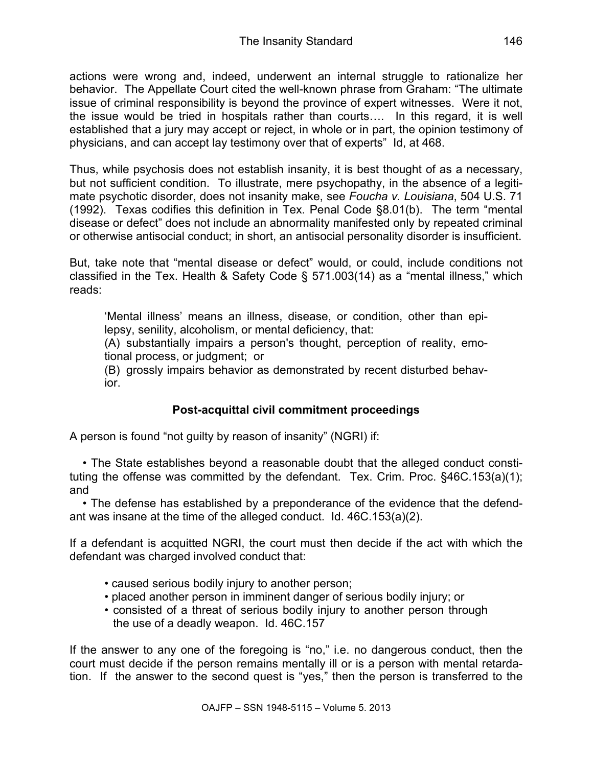actions were wrong and, indeed, underwent an internal struggle to rationalize her behavior. The Appellate Court cited the well-known phrase from Graham: "The ultimate issue of criminal responsibility is beyond the province of expert witnesses. Were it not, the issue would be tried in hospitals rather than courts…. In this regard, it is well established that a jury may accept or reject, in whole or in part, the opinion testimony of physicians, and can accept lay testimony over that of experts" Id, at 468.

Thus, while psychosis does not establish insanity, it is best thought of as a necessary, but not sufficient condition. To illustrate, mere psychopathy, in the absence of a legitimate psychotic disorder, does not insanity make, see *Foucha v. Louisiana*, 504 U.S. 71 (1992). Texas codifies this definition in Tex. Penal Code §8.01(b). The term "mental disease or defect" does not include an abnormality manifested only by repeated criminal or otherwise antisocial conduct; in short, an antisocial personality disorder is insufficient.

But, take note that "mental disease or defect" would, or could, include conditions not classified in the Tex. Health & Safety Code § 571.003(14) as a "mental illness," which reads:

'Mental illness' means an illness, disease, or condition, other than epilepsy, senility, alcoholism, or mental deficiency, that: (A) substantially impairs a person's thought, perception of reality, emotional process, or judgment; or

(B) grossly impairs behavior as demonstrated by recent disturbed behavior.

# **Post-acquittal civil commitment proceedings**

A person is found "not guilty by reason of insanity" (NGRI) if:

• The State establishes beyond a reasonable doubt that the alleged conduct constituting the offense was committed by the defendant. Tex. Crim. Proc. §46C.153(a)(1); and

• The defense has established by a preponderance of the evidence that the defendant was insane at the time of the alleged conduct. Id. 46C.153(a)(2).

If a defendant is acquitted NGRI, the court must then decide if the act with which the defendant was charged involved conduct that:

- caused serious bodily injury to another person;
- placed another person in imminent danger of serious bodily injury; or
- consisted of a threat of serious bodily injury to another person through the use of a deadly weapon. Id. 46C.157

If the answer to any one of the foregoing is "no," i.e. no dangerous conduct, then the court must decide if the person remains mentally ill or is a person with mental retardation. If the answer to the second quest is "yes," then the person is transferred to the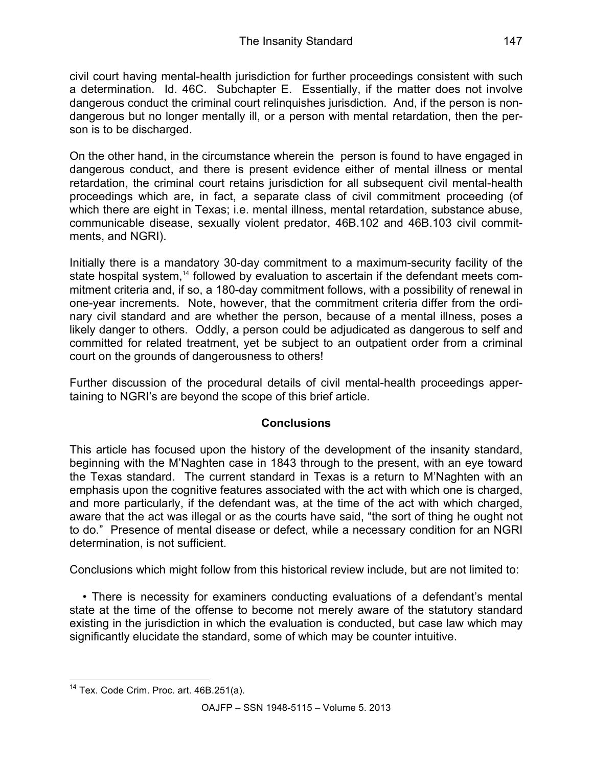civil court having mental-health jurisdiction for further proceedings consistent with such a determination. Id. 46C. Subchapter E. Essentially, if the matter does not involve dangerous conduct the criminal court relinquishes jurisdiction. And, if the person is nondangerous but no longer mentally ill, or a person with mental retardation, then the person is to be discharged.

On the other hand, in the circumstance wherein the person is found to have engaged in dangerous conduct, and there is present evidence either of mental illness or mental retardation, the criminal court retains jurisdiction for all subsequent civil mental-health proceedings which are, in fact, a separate class of civil commitment proceeding (of which there are eight in Texas; i.e. mental illness, mental retardation, substance abuse, communicable disease, sexually violent predator, 46B.102 and 46B.103 civil commitments, and NGRI).

Initially there is a mandatory 30-day commitment to a maximum-security facility of the state hospital system,<sup>14</sup> followed by evaluation to ascertain if the defendant meets commitment criteria and, if so, a 180-day commitment follows, with a possibility of renewal in one-year increments. Note, however, that the commitment criteria differ from the ordinary civil standard and are whether the person, because of a mental illness, poses a likely danger to others. Oddly, a person could be adjudicated as dangerous to self and committed for related treatment, yet be subject to an outpatient order from a criminal court on the grounds of dangerousness to others!

Further discussion of the procedural details of civil mental-health proceedings appertaining to NGRI's are beyond the scope of this brief article.

### **Conclusions**

This article has focused upon the history of the development of the insanity standard, beginning with the M'Naghten case in 1843 through to the present, with an eye toward the Texas standard. The current standard in Texas is a return to M'Naghten with an emphasis upon the cognitive features associated with the act with which one is charged, and more particularly, if the defendant was, at the time of the act with which charged, aware that the act was illegal or as the courts have said, "the sort of thing he ought not to do." Presence of mental disease or defect, while a necessary condition for an NGRI determination, is not sufficient.

Conclusions which might follow from this historical review include, but are not limited to:

• There is necessity for examiners conducting evaluations of a defendant's mental state at the time of the offense to become not merely aware of the statutory standard existing in the jurisdiction in which the evaluation is conducted, but case law which may significantly elucidate the standard, some of which may be counter intuitive.

<sup>&</sup>lt;sup>14</sup> Tex. Code Crim. Proc. art. 46B.251(a).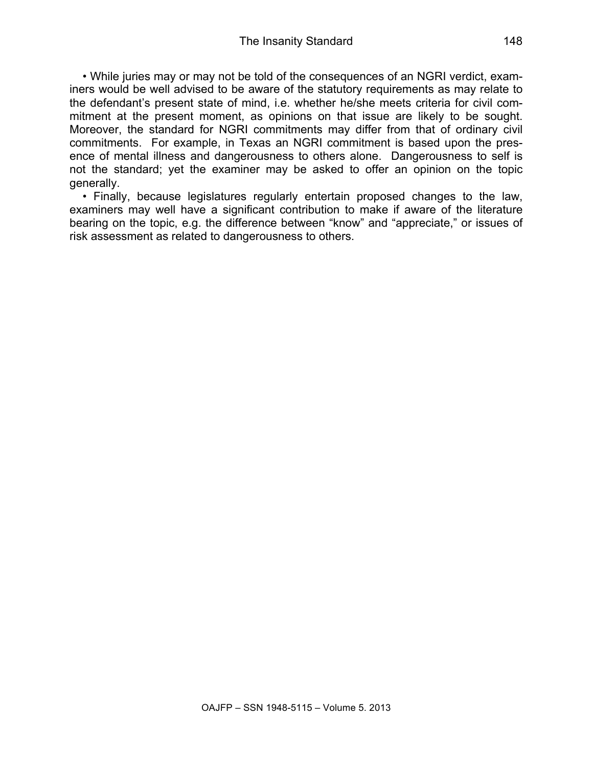• While juries may or may not be told of the consequences of an NGRI verdict, examiners would be well advised to be aware of the statutory requirements as may relate to the defendant's present state of mind, i.e. whether he/she meets criteria for civil commitment at the present moment, as opinions on that issue are likely to be sought. Moreover, the standard for NGRI commitments may differ from that of ordinary civil commitments. For example, in Texas an NGRI commitment is based upon the presence of mental illness and dangerousness to others alone. Dangerousness to self is not the standard; yet the examiner may be asked to offer an opinion on the topic generally.

• Finally, because legislatures regularly entertain proposed changes to the law, examiners may well have a significant contribution to make if aware of the literature bearing on the topic, e.g. the difference between "know" and "appreciate," or issues of risk assessment as related to dangerousness to others.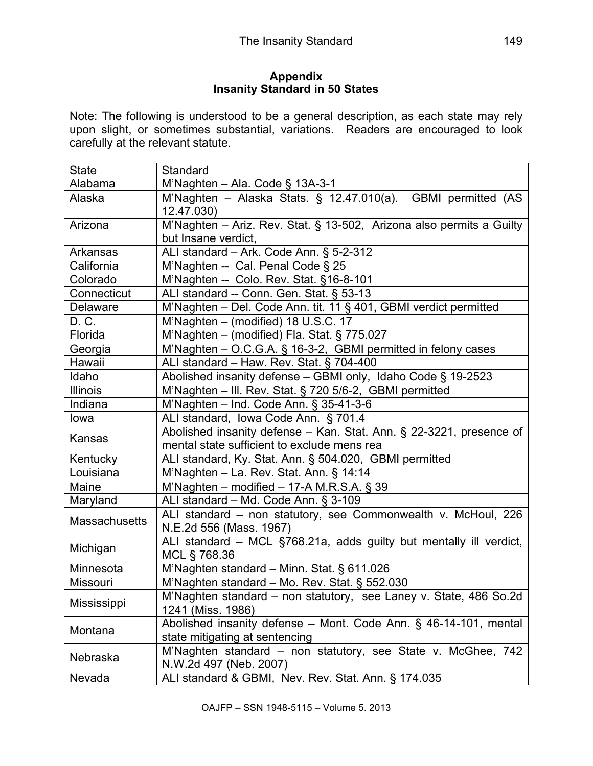#### **Appendix Insanity Standard in 50 States**

Note: The following is understood to be a general description, as each state may rely upon slight, or sometimes substantial, variations. Readers are encouraged to look carefully at the relevant statute.

| <b>State</b>         | Standard                                                             |
|----------------------|----------------------------------------------------------------------|
| Alabama              | M'Naghten - Ala. Code § 13A-3-1                                      |
| Alaska               | M'Naghten - Alaska Stats. § 12.47.010(a). GBMI permitted (AS         |
|                      | 12.47.030)                                                           |
| Arizona              | M'Naghten - Ariz. Rev. Stat. § 13-502, Arizona also permits a Guilty |
|                      | but Insane verdict,                                                  |
| Arkansas             | ALI standard - Ark. Code Ann. § 5-2-312                              |
| California           | M'Naghten -- Cal. Penal Code § 25                                    |
| Colorado             | M'Naghten -- Colo. Rev. Stat. §16-8-101                              |
| Connecticut          | ALI standard -- Conn. Gen. Stat. § 53-13                             |
| Delaware             | M'Naghten - Del. Code Ann. tit. 11 § 401, GBMI verdict permitted     |
| D. C.                | M'Naghten - (modified) 18 U.S.C. 17                                  |
| Florida              | M'Naghten - (modified) Fla. Stat. § 775.027                          |
| Georgia              | M'Naghten - O.C.G.A. § 16-3-2, GBMI permitted in felony cases        |
| Hawaii               | ALI standard - Haw. Rev. Stat. § 704-400                             |
| Idaho                | Abolished insanity defense - GBMI only, Idaho Code § 19-2523         |
| <b>Illinois</b>      | M'Naghten - III. Rev. Stat. § 720 5/6-2, GBMI permitted              |
| Indiana              | M'Naghten - Ind. Code Ann. § 35-41-3-6                               |
| lowa                 | ALI standard, Iowa Code Ann. § 701.4                                 |
| <b>Kansas</b>        | Abolished insanity defense - Kan. Stat. Ann. § 22-3221, presence of  |
|                      | mental state sufficient to exclude mens rea                          |
| Kentucky             | ALI standard, Ky. Stat. Ann. § 504.020, GBMI permitted               |
| Louisiana            | M'Naghten - La. Rev. Stat. Ann. § 14:14                              |
| Maine                | M'Naghten - modified - 17-A M.R.S.A. § 39                            |
| Maryland             | ALI standard - Md. Code Ann. § 3-109                                 |
| <b>Massachusetts</b> | ALI standard - non statutory, see Commonwealth v. McHoul, 226        |
|                      | N.E.2d 556 (Mass. 1967)                                              |
| Michigan             | ALI standard - MCL §768.21a, adds guilty but mentally ill verdict,   |
|                      | MCL § 768.36                                                         |
| Minnesota            | M'Naghten standard - Minn. Stat. § 611.026                           |
| Missouri             | M'Naghten standard - Mo. Rev. Stat. § 552.030                        |
| Mississippi          | M'Naghten standard - non statutory, see Laney v. State, 486 So.2d    |
|                      | 1241 (Miss. 1986)                                                    |
| Montana              | Abolished insanity defense - Mont. Code Ann. § 46-14-101, mental     |
|                      | state mitigating at sentencing                                       |
| Nebraska             | M'Naghten standard - non statutory, see State v. McGhee, 742         |
|                      | N.W.2d 497 (Neb. 2007)                                               |
| Nevada               | ALI standard & GBMI, Nev. Rev. Stat. Ann. § 174.035                  |